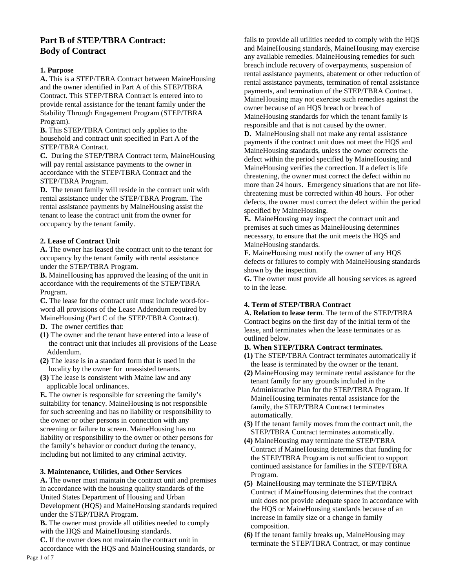# **Part B of STEP/TBRA Contract: Body of Contract**

## **1. Purpose**

**A.** This is a STEP/TBRA Contract between MaineHousing and the owner identified in Part A of this STEP/TBRA Contract. This STEP/TBRA Contract is entered into to provide rental assistance for the tenant family under the Stability Through Engagement Program (STEP/TBRA Program).

**B.** This STEP/TBRA Contract only applies to the household and contract unit specified in Part A of the STEP/TBRA Contract.

**C.** During the STEP/TBRA Contract term, MaineHousing will pay rental assistance payments to the owner in accordance with the STEP/TBRA Contract and the STEP/TBRA Program.

**D.** The tenant family will reside in the contract unit with rental assistance under the STEP/TBRA Program. The rental assistance payments by MaineHousing assist the tenant to lease the contract unit from the owner for occupancy by the tenant family.

## **2. Lease of Contract Unit**

**A.** The owner has leased the contract unit to the tenant for occupancy by the tenant family with rental assistance under the STEP/TBRA Program.

**B.** MaineHousing has approved the leasing of the unit in accordance with the requirements of the STEP/TBRA Program.

**C.** The lease for the contract unit must include word-forword all provisions of the Lease Addendum required by MaineHousing (Part C of the STEP/TBRA Contract).

- **D.** The owner certifies that:
- **(1)** The owner and the tenant have entered into a lease of the contract unit that includes all provisions of the Lease Addendum.
- **(2)** The lease is in a standard form that is used in the locality by the owner for unassisted tenants.
- **(3)** The lease is consistent with Maine law and any applicable local ordinances.

**E.** The owner is responsible for screening the family's suitability for tenancy. MaineHousing is not responsible for such screening and has no liability or responsibility to the owner or other persons in connection with any screening or failure to screen. MaineHousing has no liability or responsibility to the owner or other persons for the family's behavior or conduct during the tenancy, including but not limited to any criminal activity.

# **3. Maintenance, Utilities, and Other Services**

**A.** The owner must maintain the contract unit and premises in accordance with the housing quality standards of the United States Department of Housing and Urban Development (HQS) and MaineHousing standards required under the STEP/TBRA Program.

**B.** The owner must provide all utilities needed to comply with the HQS and MaineHousing standards.

**C.** If the owner does not maintain the contract unit in accordance with the HQS and MaineHousing standards, or fails to provide all utilities needed to comply with the HQS and MaineHousing standards, MaineHousing may exercise any available remedies. MaineHousing remedies for such breach include recovery of overpayments, suspension of rental assistance payments, abatement or other reduction of rental assistance payments, termination of rental assistance payments, and termination of the STEP/TBRA Contract. MaineHousing may not exercise such remedies against the owner because of an HQS breach or breach of MaineHousing standards for which the tenant family is responsible and that is not caused by the owner.

**D.** MaineHousing shall not make any rental assistance payments if the contract unit does not meet the HQS and MaineHousing standards, unless the owner corrects the defect within the period specified by MaineHousing and MaineHousing verifies the correction. If a defect is life threatening, the owner must correct the defect within no more than 24 hours. Emergency situations that are not lifethreatening must be corrected within 48 hours. For other defects, the owner must correct the defect within the period specified by MaineHousing.

**E.** MaineHousing may inspect the contract unit and premises at such times as MaineHousing determines necessary, to ensure that the unit meets the HQS and MaineHousing standards.

**F.** MaineHousing must notify the owner of any HQS defects or failures to comply with MaineHousing standards shown by the inspection.

**G.** The owner must provide all housing services as agreed to in the lease.

# **4. Term of STEP/TBRA Contract**

**A. Relation to lease term**. The term of the STEP/TBRA Contract begins on the first day of the initial term of the lease, and terminates when the lease terminates or as outlined below.

## **B. When STEP/TBRA Contract terminates.**

- **(1)** The STEP/TBRA Contract terminates automatically if the lease is terminated by the owner or the tenant.
- **(2)** MaineHousing may terminate rental assistance for the tenant family for any grounds included in the Administrative Plan for the STEP/TBRA Program. If MaineHousing terminates rental assistance for the family, the STEP/TBRA Contract terminates automatically.
- **(3)** If the tenant family moves from the contract unit, the STEP/TBRA Contract terminates automatically.
- **(4)** MaineHousing may terminate the STEP/TBRA Contract if MaineHousing determines that funding for the STEP/TBRA Program is not sufficient to support continued assistance for families in the STEP/TBRA Program.
- **(5)** MaineHousing may terminate the STEP/TBRA Contract if MaineHousing determines that the contract unit does not provide adequate space in accordance with the HQS or MaineHousing standards because of an increase in family size or a change in family composition.
- **(6)** If the tenant family breaks up, MaineHousing may terminate the STEP/TBRA Contract, or may continue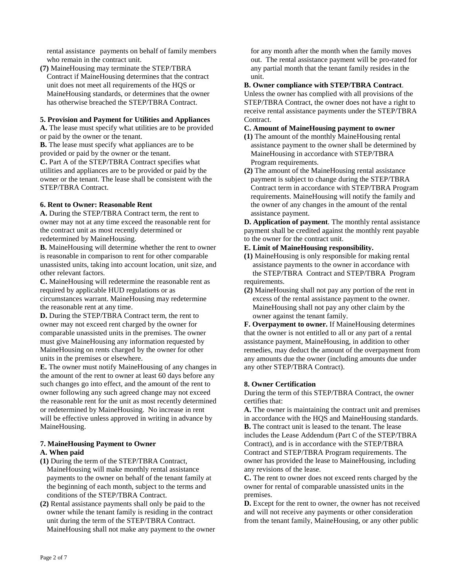rental assistance payments on behalf of family members who remain in the contract unit.

**(7)** MaineHousing may terminate the STEP/TBRA Contract if MaineHousing determines that the contract unit does not meet all requirements of the HQS or MaineHousing standards, or determines that the owner has otherwise breached the STEP/TBRA Contract.

### **5. Provision and Payment for Utilities and Appliances**

**A.** The lease must specify what utilities are to be provided or paid by the owner or the tenant.

**B.** The lease must specify what appliances are to be provided or paid by the owner or the tenant.

**C.** Part A of the STEP/TBRA Contract specifies what utilities and appliances are to be provided or paid by the owner or the tenant. The lease shall be consistent with the STEP/TBRA Contract.

### **6. Rent to Owner: Reasonable Rent**

**A.** During the STEP/TBRA Contract term, the rent to owner may not at any time exceed the reasonable rent for the contract unit as most recently determined or redetermined by MaineHousing.

**B.** MaineHousing will determine whether the rent to owner is reasonable in comparison to rent for other comparable unassisted units, taking into account location, unit size, and other relevant factors.

**C.** MaineHousing will redetermine the reasonable rent as required by applicable HUD regulations or as circumstances warrant. MaineHousing may redetermine the reasonable rent at any time.

**D.** During the STEP/TBRA Contract term, the rent to owner may not exceed rent charged by the owner for comparable unassisted units in the premises. The owner must give MaineHousing any information requested by MaineHousing on rents charged by the owner for other units in the premises or elsewhere.

**E.** The owner must notify MaineHousing of any changes in the amount of the rent to owner at least 60 days before any such changes go into effect, and the amount of the rent to owner following any such agreed change may not exceed the reasonable rent for the unit as most recently determined or redetermined by MaineHousing. No increase in rent will be effective unless approved in writing in advance by MaineHousing.

## **7. MaineHousing Payment to Owner**

### **A. When paid**

- **(1)** During the term of the STEP/TBRA Contract, MaineHousing will make monthly rental assistance payments to the owner on behalf of the tenant family at the beginning of each month, subject to the terms and conditions of the STEP/TBRA Contract.
- **(2)** Rental assistance payments shall only be paid to the owner while the tenant family is residing in the contract unit during the term of the STEP/TBRA Contract. MaineHousing shall not make any payment to the owner

for any month after the month when the family moves out. The rental assistance payment will be pro-rated for any partial month that the tenant family resides in the unit.

### **B. Owner compliance with STEP/TBRA Contract**.

Unless the owner has complied with all provisions of the STEP/TBRA Contract, the owner does not have a right to receive rental assistance payments under the STEP/TBRA Contract.

## **C. Amount of MaineHousing payment to owner**

- **(1)** The amount of the monthly MaineHousing rental assistance payment to the owner shall be determined by MaineHousing in accordance with STEP/TBRA Program requirements.
- **(2)** The amount of the MaineHousing rental assistance payment is subject to change during the STEP/TBRA Contract term in accordance with STEP/TBRA Program requirements. MaineHousing will notify the family and the owner of any changes in the amount of the rental assistance payment.

**D. Application of payment**. The monthly rental assistance payment shall be credited against the monthly rent payable to the owner for the contract unit.

- **E. Limit of MaineHousing responsibility.**
- **(1)** MaineHousing is only responsible for making rental assistance payments to the owner in accordance with the STEP/TBRA Contract and STEP/TBRA Program requirements.
- **(2)** MaineHousing shall not pay any portion of the rent in excess of the rental assistance payment to the owner. MaineHousing shall not pay any other claim by the owner against the tenant family.

**F. Overpayment to owner.** If MaineHousing determines that the owner is not entitled to all or any part of a rental assistance payment, MaineHousing, in addition to other remedies, may deduct the amount of the overpayment from any amounts due the owner (including amounts due under any other STEP/TBRA Contract).

### **8. Owner Certification**

During the term of this STEP/TBRA Contract, the owner certifies that:

**A.** The owner is maintaining the contract unit and premises in accordance with the HQS and MaineHousing standards. **B.** The contract unit is leased to the tenant. The lease includes the Lease Addendum (Part C of the STEP/TBRA Contract), and is in accordance with the STEP/TBRA Contract and STEP/TBRA Program requirements. The owner has provided the lease to MaineHousing, including any revisions of the lease.

**C.** The rent to owner does not exceed rents charged by the owner for rental of comparable unassisted units in the premises.

**D.** Except for the rent to owner, the owner has not received and will not receive any payments or other consideration from the tenant family, MaineHousing, or any other public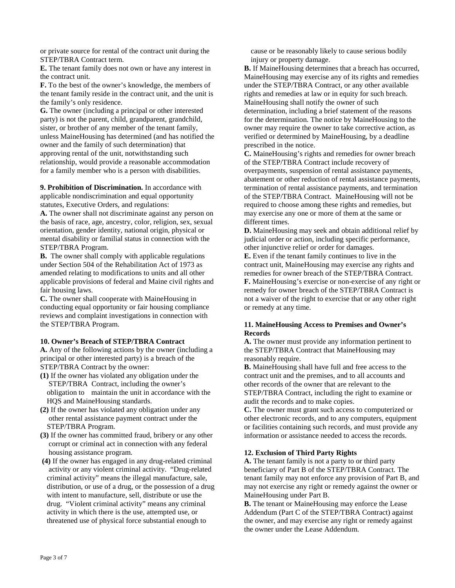or private source for rental of the contract unit during the STEP/TBRA Contract term.

**E.** The tenant family does not own or have any interest in the contract unit.

**F.** To the best of the owner's knowledge, the members of the tenant family reside in the contract unit, and the unit is the family's only residence.

**G.** The owner (including a principal or other interested party) is not the parent, child, grandparent, grandchild, sister, or brother of any member of the tenant family, unless MaineHousing has determined (and has notified the owner and the family of such determination) that approving rental of the unit, notwithstanding such relationship, would provide a reasonable accommodation for a family member who is a person with disabilities.

**9. Prohibition of Discrimination.** In accordance with applicable nondiscrimination and equal opportunity statutes, Executive Orders, and regulations:

**A.** The owner shall not discriminate against any person on the basis of race, age, ancestry, color, religion, sex, sexual orientation, gender identity, national origin, physical or mental disability or familial status in connection with the STEP/TBRA Program.

**B.** The owner shall comply with applicable regulations under Section 504 of the Rehabilitation Act of 1973 as amended relating to modifications to units and all other applicable provisions of federal and Maine civil rights and fair housing laws.

**C.** The owner shall cooperate with MaineHousing in conducting equal opportunity or fair housing compliance reviews and complaint investigations in connection with the STEP/TBRA Program.

### **10. Owner's Breach of STEP/TBRA Contract**

**A.** Any of the following actions by the owner (including a principal or other interested party) is a breach of the STEP/TBRA Contract by the owner:

- **(1)** If the owner has violated any obligation under the STEP/TBRA Contract, including the owner's obligation to maintain the unit in accordance with the HQS and MaineHousing standards.
- **(2)** If the owner has violated any obligation under any other rental assistance payment contract under the STEP/TBRA Program.
- **(3)** If the owner has committed fraud, bribery or any other corrupt or criminal act in connection with any federal housing assistance program.
- **(4)** If the owner has engaged in any drug-related criminal activity or any violent criminal activity. "Drug-related criminal activity" means the illegal manufacture, sale, distribution, or use of a drug, or the possession of a drug with intent to manufacture, sell, distribute or use the drug. "Violent criminal activity" means any criminal activity in which there is the use, attempted use, or threatened use of physical force substantial enough to

cause or be reasonably likely to cause serious bodily injury or property damage.

**B.** If MaineHousing determines that a breach has occurred, MaineHousing may exercise any of its rights and remedies under the STEP/TBRA Contract, or any other available rights and remedies at law or in equity for such breach. MaineHousing shall notify the owner of such determination, including a brief statement of the reasons for the determination. The notice by MaineHousing to the owner may require the owner to take corrective action, as verified or determined by MaineHousing, by a deadline prescribed in the notice.

**C.** MaineHousing's rights and remedies for owner breach of the STEP/TBRA Contract include recovery of overpayments, suspension of rental assistance payments, abatement or other reduction of rental assistance payments, termination of rental assistance payments, and termination of the STEP/TBRA Contract. MaineHousing will not be required to choose among these rights and remedies, but may exercise any one or more of them at the same or different times.

**D.** MaineHousing may seek and obtain additional relief by judicial order or action, including specific performance, other injunctive relief or order for damages.

**E.** Even if the tenant family continues to live in the contract unit, MaineHousing may exercise any rights and remedies for owner breach of the STEP/TBRA Contract. **F.** MaineHousing's exercise or non-exercise of any right or remedy for owner breach of the STEP/TBRA Contract is not a waiver of the right to exercise that or any other right or remedy at any time.

### **11. MaineHousing Access to Premises and Owner's Records**

**A.** The owner must provide any information pertinent to the STEP/TBRA Contract that MaineHousing may reasonably require.

**B.** MaineHousing shall have full and free access to the contract unit and the premises, and to all accounts and other records of the owner that are relevant to the STEP/TBRA Contract, including the right to examine or audit the records and to make copies.

**C.** The owner must grant such access to computerized or other electronic records, and to any computers, equipment or facilities containing such records, and must provide any information or assistance needed to access the records.

### **12. Exclusion of Third Party Rights**

**A.** The tenant family is not a party to or third party beneficiary of Part B of the STEP/TBRA Contract. The tenant family may not enforce any provision of Part B, and may not exercise any right or remedy against the owner or MaineHousing under Part B.

**B.** The tenant or MaineHousing may enforce the Lease Addendum (Part C of the STEP/TBRA Contract) against the owner, and may exercise any right or remedy against the owner under the Lease Addendum.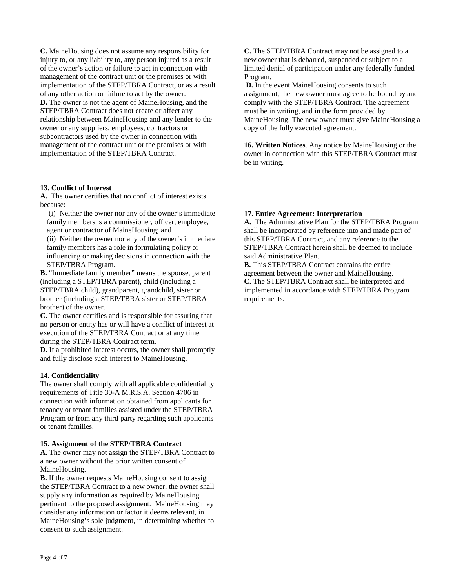**C.** MaineHousing does not assume any responsibility for injury to, or any liability to, any person injured as a result of the owner's action or failure to act in connection with management of the contract unit or the premises or with implementation of the STEP/TBRA Contract, or as a result of any other action or failure to act by the owner. **D.** The owner is not the agent of MaineHousing, and the STEP/TBRA Contract does not create or affect any relationship between MaineHousing and any lender to the owner or any suppliers, employees, contractors or subcontractors used by the owner in connection with management of the contract unit or the premises or with implementation of the STEP/TBRA Contract.

### **13. Conflict of Interest**

**A.** The owner certifies that no conflict of interest exists because:

(i) Neither the owner nor any of the owner's immediate family members is a commissioner, officer, employee, agent or contractor of MaineHousing; and

(ii) Neither the owner nor any of the owner's immediate family members has a role in formulating policy or influencing or making decisions in connection with the STEP/TBRA Program.

**B.** "Immediate family member" means the spouse, parent (including a STEP/TBRA parent), child (including a STEP/TBRA child), grandparent, grandchild, sister or brother (including a STEP/TBRA sister or STEP/TBRA brother) of the owner.

**C.** The owner certifies and is responsible for assuring that no person or entity has or will have a conflict of interest at execution of the STEP/TBRA Contract or at any time during the STEP/TBRA Contract term.

**D.** If a prohibited interest occurs, the owner shall promptly and fully disclose such interest to MaineHousing.

## **14. Confidentiality**

The owner shall comply with all applicable confidentiality requirements of Title 30-A M.R.S.A. Section 4706 in connection with information obtained from applicants for tenancy or tenant families assisted under the STEP/TBRA Program or from any third party regarding such applicants or tenant families.

### **15. Assignment of the STEP/TBRA Contract**

**A.** The owner may not assign the STEP/TBRA Contract to a new owner without the prior written consent of MaineHousing.

**B.** If the owner requests MaineHousing consent to assign the STEP/TBRA Contract to a new owner, the owner shall supply any information as required by MaineHousing pertinent to the proposed assignment. MaineHousing may consider any information or factor it deems relevant, in MaineHousing's sole judgment, in determining whether to consent to such assignment.

**C.** The STEP/TBRA Contract may not be assigned to a new owner that is debarred, suspended or subject to a limited denial of participation under any federally funded Program.

**D.** In the event MaineHousing consents to such assignment, the new owner must agree to be bound by and comply with the STEP/TBRA Contract. The agreement must be in writing, and in the form provided by MaineHousing. The new owner must give MaineHousing a copy of the fully executed agreement.

**16. Written Notices**. Any notice by MaineHousing or the owner in connection with this STEP/TBRA Contract must be in writing.

### **17. Entire Agreement: Interpretation**

**A.** The Administrative Plan for the STEP/TBRA Program shall be incorporated by reference into and made part of this STEP/TBRA Contract, and any reference to the STEP/TBRA Contract herein shall be deemed to include said Administrative Plan.

**B.** This STEP/TBRA Contract contains the entire agreement between the owner and MaineHousing. **C.** The STEP/TBRA Contract shall be interpreted and implemented in accordance with STEP/TBRA Program requirements.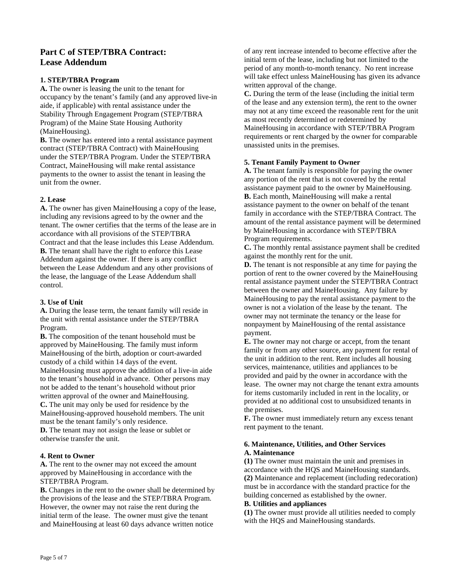# **Part C of STEP/TBRA Contract: Lease Addendum**

## **1. STEP/TBRA Program**

**A.** The owner is leasing the unit to the tenant for occupancy by the tenant's family (and any approved live-in aide, if applicable) with rental assistance under the Stability Through Engagement Program (STEP/TBRA Program) of the Maine State Housing Authority (MaineHousing).

**B.** The owner has entered into a rental assistance payment contract (STEP/TBRA Contract) with MaineHousing under the STEP/TBRA Program. Under the STEP/TBRA Contract, MaineHousing will make rental assistance payments to the owner to assist the tenant in leasing the unit from the owner.

## **2. Lease**

**A.** The owner has given MaineHousing a copy of the lease, including any revisions agreed to by the owner and the tenant. The owner certifies that the terms of the lease are in accordance with all provisions of the STEP/TBRA Contract and that the lease includes this Lease Addendum. **B.** The tenant shall have the right to enforce this Lease Addendum against the owner. If there is any conflict between the Lease Addendum and any other provisions of the lease, the language of the Lease Addendum shall control.

## **3. Use of Unit**

**A.** During the lease term, the tenant family will reside in the unit with rental assistance under the STEP/TBRA Program.

**B.** The composition of the tenant household must be approved by MaineHousing. The family must inform MaineHousing of the birth, adoption or court-awarded custody of a child within 14 days of the event. MaineHousing must approve the addition of a live-in aide to the tenant's household in advance. Other persons may not be added to the tenant's household without prior written approval of the owner and MaineHousing. **C.** The unit may only be used for residence by the MaineHousing-approved household members. The unit must be the tenant family's only residence. **D.** The tenant may not assign the lease or sublet or otherwise transfer the unit.

# **4. Rent to Owner**

**A.** The rent to the owner may not exceed the amount approved by MaineHousing in accordance with the STEP/TBRA Program.

**B.** Changes in the rent to the owner shall be determined by the provisions of the lease and the STEP/TBRA Program. However, the owner may not raise the rent during the initial term of the lease. The owner must give the tenant and MaineHousing at least 60 days advance written notice

of any rent increase intended to become effective after the initial term of the lease, including but not limited to the period of any month-to-month tenancy. No rent increase will take effect unless MaineHousing has given its advance written approval of the change.

**C.** During the term of the lease (including the initial term of the lease and any extension term), the rent to the owner may not at any time exceed the reasonable rent for the unit as most recently determined or redetermined by MaineHousing in accordance with STEP/TBRA Program requirements or rent charged by the owner for comparable unassisted units in the premises.

### **5. Tenant Family Payment to Owner**

**A.** The tenant family is responsible for paying the owner any portion of the rent that is not covered by the rental assistance payment paid to the owner by MaineHousing. **B.** Each month, MaineHousing will make a rental assistance payment to the owner on behalf of the tenant family in accordance with the STEP/TBRA Contract. The amount of the rental assistance payment will be determined by MaineHousing in accordance with STEP/TBRA Program requirements.

**C.** The monthly rental assistance payment shall be credited against the monthly rent for the unit.

**D.** The tenant is not responsible at any time for paying the portion of rent to the owner covered by the MaineHousing rental assistance payment under the STEP/TBRA Contract between the owner and MaineHousing. Any failure by MaineHousing to pay the rental assistance payment to the owner is not a violation of the lease by the tenant. The owner may not terminate the tenancy or the lease for nonpayment by MaineHousing of the rental assistance payment.

**E.** The owner may not charge or accept, from the tenant family or from any other source, any payment for rental of the unit in addition to the rent. Rent includes all housing services, maintenance, utilities and appliances to be provided and paid by the owner in accordance with the lease. The owner may not charge the tenant extra amounts for items customarily included in rent in the locality, or provided at no additional cost to unsubsidized tenants in the premises.

**F.** The owner must immediately return any excess tenant rent payment to the tenant.

### **6. Maintenance, Utilities, and Other Services A. Maintenance**

**(1)** The owner must maintain the unit and premises in accordance with the HQS and MaineHousing standards. **(2)** Maintenance and replacement (including redecoration) must be in accordance with the standard practice for the building concerned as established by the owner.

### **B. Utilities and appliances**

**(1)** The owner must provide all utilities needed to comply with the HQS and MaineHousing standards.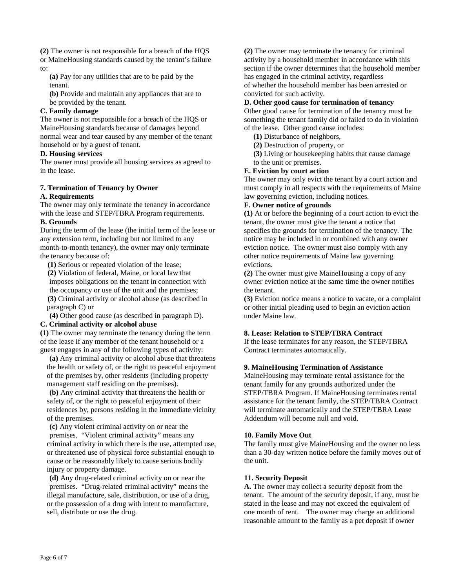**(2)** The owner is not responsible for a breach of the HQS or MaineHousing standards caused by the tenant's failure to:

 **(a)** Pay for any utilities that are to be paid by the tenant.

 **(b)** Provide and maintain any appliances that are to be provided by the tenant.

## **C. Family damage**

The owner is not responsible for a breach of the HQS or MaineHousing standards because of damages beyond normal wear and tear caused by any member of the tenant household or by a guest of tenant.

## **D. Housing services**

The owner must provide all housing services as agreed to in the lease.

# **7. Termination of Tenancy by Owner**

## **A. Requirements**

The owner may only terminate the tenancy in accordance with the lease and STEP/TBRA Program requirements.

## **B. Grounds**

During the term of the lease (the initial term of the lease or any extension term, including but not limited to any month-to-month tenancy), the owner may only terminate the tenancy because of:

 **(1)** Serious or repeated violation of the lease;  **(2)** Violation of federal, Maine, or local law that imposes obligations on the tenant in connection with the occupancy or use of the unit and the premises;

 **(3)** Criminal activity or alcohol abuse (as described in paragraph C) or

 **(4)** Other good cause (as described in paragraph D).

## **C. Criminal activity or alcohol abuse**

**(1)** The owner may terminate the tenancy during the term of the lease if any member of the tenant household or a guest engages in any of the following types of activity:

 **(a)** Any criminal activity or alcohol abuse that threatens the health or safety of, or the right to peaceful enjoyment of the premises by, other residents (including property management staff residing on the premises).

 **(b)** Any criminal activity that threatens the health or safety of, or the right to peaceful enjoyment of their residences by, persons residing in the immediate vicinity of the premises.

 **(c)** Any violent criminal activity on or near the premises. "Violent criminal activity" means any criminal activity in which there is the use, attempted use, or threatened use of physical force substantial enough to cause or be reasonably likely to cause serious bodily injury or property damage.

 **(d)** Any drug-related criminal activity on or near the premises. "Drug-related criminal activity" means the illegal manufacture, sale, distribution, or use of a drug, or the possession of a drug with intent to manufacture, sell, distribute or use the drug.

**(2)** The owner may terminate the tenancy for criminal activity by a household member in accordance with this section if the owner determines that the household member has engaged in the criminal activity, regardless of whether the household member has been arrested or convicted for such activity.

## **D. Other good cause for termination of tenancy**

Other good cause for termination of the tenancy must be something the tenant family did or failed to do in violation of the lease. Other good cause includes:

- **(1)** Disturbance of neighbors,
- **(2)** Destruction of property, or
- **(3)** Living or housekeeping habits that cause damage to the unit or premises.

## **E. Eviction by court action**

The owner may only evict the tenant by a court action and must comply in all respects with the requirements of Maine law governing eviction, including notices.

## **F. Owner notice of grounds**

**(1)** At or before the beginning of a court action to evict the tenant, the owner must give the tenant a notice that specifies the grounds for termination of the tenancy. The notice may be included in or combined with any owner eviction notice. The owner must also comply with any other notice requirements of Maine law governing evictions.

**(2)** The owner must give MaineHousing a copy of any owner eviction notice at the same time the owner notifies the tenant.

**(3)** Eviction notice means a notice to vacate, or a complaint or other initial pleading used to begin an eviction action under Maine law.

# **8. Lease: Relation to STEP/TBRA Contract**

If the lease terminates for any reason, the STEP/TBRA Contract terminates automatically.

## **9. MaineHousing Termination of Assistance**

MaineHousing may terminate rental assistance for the tenant family for any grounds authorized under the STEP/TBRA Program. If MaineHousing terminates rental assistance for the tenant family, the STEP/TBRA Contract will terminate automatically and the STEP/TBRA Lease Addendum will become null and void.

# **10. Family Move Out**

The family must give MaineHousing and the owner no less than a 30-day written notice before the family moves out of the unit.

# **11. Security Deposit**

**A.** The owner may collect a security deposit from the tenant. The amount of the security deposit, if any, must be stated in the lease and may not exceed the equivalent of one month of rent. The owner may charge an additional reasonable amount to the family as a pet deposit if owner